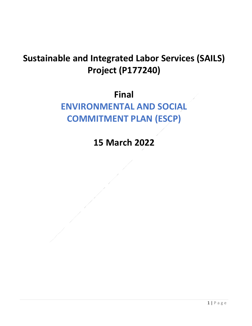## **Sustainable and Integrated Labor Services (SAILS) Project (P177240)**

## **Final**

## **ENVIRONMENTAL AND SOCIAL COMMITMENT PLAN (ESCP)**

**15 March 2022**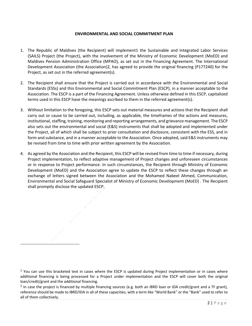## **ENVIRONMENTAL AND SOCIAL COMMITMENT PLAN**

- 1. The Republic of Maldives (the Recipient) will implement1 the Sustainable and Integrated Labor Services (SAILS) Project (the Project), with the involvement of the Ministry of Economic Development (MoED) and Maldives Pension Administration Office (MPAO), as set out in the Financing Agreement. The International Development Association (the Association)2, has agreed to provide the original financing (P177240) for the Project, as set out in the referred agreement(s).
- 2. The Recipient shall ensure that the Project is carried out in accordance with the Environmental and Social Standards (ESSs) and this Environmental and Social Commitment Plan (ESCP), in a manner acceptable to the Association. The ESCP is a part of the Financing Agreement. Unless otherwise defined in this ESCP, capitalized terms used in this ESCP have the meanings ascribed to them in the referred agreement(s).
- 3. Without limitation to the foregoing, this ESCP sets out material measures and actions that the Recipient shall carry out or cause to be carried out, including, as applicable, the timeframes of the actions and measures, institutional, staffing, training, monitoring and reporting arrangements, and grievance management. The ESCP also sets out the environmental and social (E&S) instruments that shall be adopted and implemented under the Project, all of which shall be subject to prior consultation and disclosure, consistent with the ESS, and in form and substance, and in a manner acceptable to the Association. Once adopted, said E&S instruments may be revised from time to time with prior written agreement by the Association.
- 4. As agreed by the Association and the Recipient, this ESCP will be revised from time to time if necessary, during Project implementation, to reflect adaptive management of Project changes and unforeseen circumstances or in response to Project performance. In such circumstances, the Recipient through Ministry of Economic Development (MoED) and the Association agree to update the ESCP to reflect these changes through an exchange of letters signed between the Association and the Mohamed Nabeel Ahmed, Communication, Environmental and Social Safeguard Specialist of Ministry of Economic Development (MoED) . The Recipient shall promptly disclose the updated ESCP.

 $1$  You can use this bracketed text in cases where the ESCP is updated during Project implementation or in cases where additional financing is being processed for a Project under implementation and the ESCP will cover both the original loan/credit/grant and the additional financing.

<sup>&</sup>lt;sup>2</sup> In case the project is financed by multiple financing sources (e.g. both an IBRD loan or IDA credit/grant and a TF grant), reference should be made to IBRD/IDA in all of these capacities, with a term like "World Bank" or the "Bank" used to refer to all of them collectively.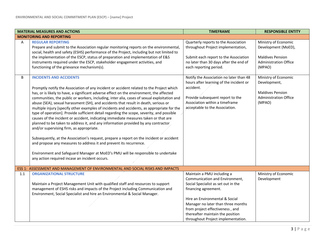|     | <b>MATERIAL MEASURES AND ACTIONS</b>                                                                                                                                                                                                                                                                                                                                                                                                                                                                                                                                                                                                                                                                                                                                                                                                                                                                                                                                                                                                                                                                                                    | <b>TIMEFRAME</b>                                                                                                                                                                                                                                                           | <b>RESPONSIBLE ENTITY</b>                                                                                        |
|-----|-----------------------------------------------------------------------------------------------------------------------------------------------------------------------------------------------------------------------------------------------------------------------------------------------------------------------------------------------------------------------------------------------------------------------------------------------------------------------------------------------------------------------------------------------------------------------------------------------------------------------------------------------------------------------------------------------------------------------------------------------------------------------------------------------------------------------------------------------------------------------------------------------------------------------------------------------------------------------------------------------------------------------------------------------------------------------------------------------------------------------------------------|----------------------------------------------------------------------------------------------------------------------------------------------------------------------------------------------------------------------------------------------------------------------------|------------------------------------------------------------------------------------------------------------------|
|     | <b>MONITORING AND REPORTING</b>                                                                                                                                                                                                                                                                                                                                                                                                                                                                                                                                                                                                                                                                                                                                                                                                                                                                                                                                                                                                                                                                                                         |                                                                                                                                                                                                                                                                            |                                                                                                                  |
| Α   | <b>REGULAR REPORTING</b><br>Prepare and submit to the Association regular monitoring reports on the environmental,<br>social, health and safety (ESHS) performance of the Project, including but not limited to<br>the implementation of the ESCP, status of preparation and implementation of E&S<br>instruments required under the ESCP, stakeholder engagement activities, and<br>functioning of the grievance mechanism(s).                                                                                                                                                                                                                                                                                                                                                                                                                                                                                                                                                                                                                                                                                                         | Quarterly reports to the Association<br>throughout Project implementation,<br>Submit each report to the Association<br>no later than 30 days after the end of<br>each reporting period.                                                                                    | Ministry of Economic<br>Development (MoED),<br><b>Maldives Pension</b><br><b>Administration Office</b><br>(MPAO) |
| B   | <b>INCIDENTS AND ACCIDENTS</b><br>Promptly notify the Association of any incident or accident related to the Project which<br>has, or is likely to have, a significant adverse effect on the environment, the affected<br>communities, the public or workers, including, inter alia, cases of sexual exploitation and<br>abuse (SEA), sexual harassment (SH), and accidents that result in death, serious or<br>multiple injury [specify other examples of incidents and accidents, as appropriate for the<br>type of operation]. Provide sufficient detail regarding the scope, severity, and possible<br>causes of the incident or accident, indicating immediate measures taken or that are<br>planned to be taken to address it, and any information provided by any contractor<br>and/or supervising firm, as appropriate.<br>Subsequently, at the Association's request, prepare a report on the incident or accident<br>and propose any measures to address it and prevent its recurrence.<br>Environment and Safeguard Manager at MoED's PMU will be responsible to undertake<br>any action required incase an incident occurs. | Notify the Association no later than 48<br>hours after learning of the incident or<br>accident.<br>Provide subsequent report to the<br>Association within a timeframe<br>acceptable to the Association.                                                                    | Ministry of Economic<br>Development,<br><b>Maldives Pension</b><br><b>Administration Office</b><br>(MPAO)        |
|     | ESS 1: ASSESSMENT AND MANAGEMENT OF ENVIRONMENTAL AND SOCIAL RISKS AND IMPACTS                                                                                                                                                                                                                                                                                                                                                                                                                                                                                                                                                                                                                                                                                                                                                                                                                                                                                                                                                                                                                                                          |                                                                                                                                                                                                                                                                            |                                                                                                                  |
| 1.1 | <b>ORGANIZATIONAL STRUCTURE</b><br>Maintain a Project Management Unit with qualified staff and resources to support<br>management of ESHS risks and impacts of the Project including Communication and<br>Environment, Social Specialist and hire an Environmental & Social Manager.                                                                                                                                                                                                                                                                                                                                                                                                                                                                                                                                                                                                                                                                                                                                                                                                                                                    | Maintain a PMU including a<br>Communication and Environment,<br>Social Specialist as set out in the<br>financing agreement.<br>Hire an Environmental & Social<br>Manager no later than three months<br>from project effectiveness, and<br>thereafter maintain the position | Ministry of Economic<br>Development                                                                              |
|     |                                                                                                                                                                                                                                                                                                                                                                                                                                                                                                                                                                                                                                                                                                                                                                                                                                                                                                                                                                                                                                                                                                                                         | throughout Project implementation.                                                                                                                                                                                                                                         |                                                                                                                  |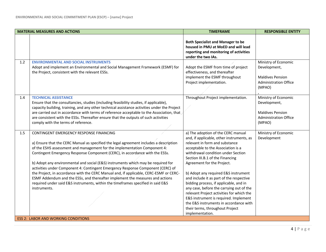|     | <b>MATERIAL MEASURES AND ACTIONS</b>                                                                                                                                                                                                                                                                                                                                                                                                                                                                                                                                                                                                                                                                                                                  | <b>TIMEFRAME</b>                                                                                                                                                                                                                                                                                                                                                                                                                                                                                                                                                                                                                | <b>RESPONSIBLE ENTITY</b>                                                                                 |
|-----|-------------------------------------------------------------------------------------------------------------------------------------------------------------------------------------------------------------------------------------------------------------------------------------------------------------------------------------------------------------------------------------------------------------------------------------------------------------------------------------------------------------------------------------------------------------------------------------------------------------------------------------------------------------------------------------------------------------------------------------------------------|---------------------------------------------------------------------------------------------------------------------------------------------------------------------------------------------------------------------------------------------------------------------------------------------------------------------------------------------------------------------------------------------------------------------------------------------------------------------------------------------------------------------------------------------------------------------------------------------------------------------------------|-----------------------------------------------------------------------------------------------------------|
|     |                                                                                                                                                                                                                                                                                                                                                                                                                                                                                                                                                                                                                                                                                                                                                       | <b>Both Specialist and Manager to be</b><br>housed in PMU at MoED and will lead<br>reporting and monitoring of activities<br>under the two IAs.                                                                                                                                                                                                                                                                                                                                                                                                                                                                                 |                                                                                                           |
| 1.2 | <b>ENVIRONMENTAL AND SOCIAL INSTRUMENTS</b><br>Adopt and implement an Environmental and Social Management Framework (ESMF) for<br>the Project, consistent with the relevant ESSs.                                                                                                                                                                                                                                                                                                                                                                                                                                                                                                                                                                     | Adopt the ESMF from time of project<br>effectiveness, and thereafter<br>implement the ESMF throughout<br>Project implementation.                                                                                                                                                                                                                                                                                                                                                                                                                                                                                                | Ministry of Economic<br>Development,<br><b>Maldives Pension</b><br><b>Administration Office</b><br>(MPAO) |
| 1.4 | <b>TECHNICAL ASSISTANCE</b><br>Ensure that the consultancies, studies (including feasibility studies, if applicable),<br>capacity building, training, and any other technical assistance activities under the Project<br>are carried out in accordance with terms of reference acceptable to the Association, that<br>are consistent with the ESSs. Thereafter ensure that the outputs of such activities<br>comply with the terms of reference.                                                                                                                                                                                                                                                                                                      | Throughout Project implementation.                                                                                                                                                                                                                                                                                                                                                                                                                                                                                                                                                                                              | Ministry of Economic<br>Development,<br><b>Maldives Pension</b><br><b>Administration Office</b><br>(MPAO) |
| 1.5 | CONTINGENT EMERGENCY RESPONSE FINANCING<br>a) Ensure that the CERC Manual as specified the legal agreement includes a description<br>of the ESHS assessment and management for the implementation Component 4:<br>Contingent Emergency Response Component (CERC), in accordance with the ESSs.<br>b) Adopt any environmental and social (E&S) instruments which may be required for<br>activities under Component 4: Contingent Emergency Response Component (CERC) of<br>the Project, in accordance with the CERC Manual and, if applicable, CERC-ESMF or CERC-<br>ESMF Addendum and the ESSs, and thereafter implement the measures and actions<br>required under said E&S instruments, within the timeframes specified in said E&S<br>instruments. | a) The adoption of the CERC manual<br>and, if applicable, other instruments, as<br>relevant in form and substance<br>acceptable to the Association is a<br>withdrawal condition under Section<br>Section III.B.1 of the Financing<br>Agreement for the Project.<br>b) Adopt any required E&S instrument<br>and include it as part of the respective<br>bidding process, if applicable, and in<br>any case, before the carrying out of the<br>relevant Project activities for which the<br>E&S instrument is required. Implement<br>the E&S instruments in accordance with<br>their terms, throughout Project<br>implementation. | Ministry of Economic<br>Development                                                                       |
|     | <b>ESS 2: LABOR AND WORKING CONDITIONS</b>                                                                                                                                                                                                                                                                                                                                                                                                                                                                                                                                                                                                                                                                                                            |                                                                                                                                                                                                                                                                                                                                                                                                                                                                                                                                                                                                                                 |                                                                                                           |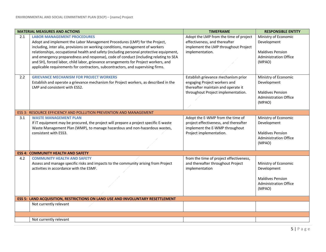|     | <b>MATERIAL MEASURES AND ACTIONS</b>                                                                                                                                                                                                                                                                                                                                                                                                                                                                                                                            | <b>TIMEFRAME</b>                                                                                                                                | <b>RESPONSIBLE ENTITY</b>                                                                                |
|-----|-----------------------------------------------------------------------------------------------------------------------------------------------------------------------------------------------------------------------------------------------------------------------------------------------------------------------------------------------------------------------------------------------------------------------------------------------------------------------------------------------------------------------------------------------------------------|-------------------------------------------------------------------------------------------------------------------------------------------------|----------------------------------------------------------------------------------------------------------|
| 2.1 | <b>LABOR MANAGEMENT PROCEDURES</b><br>Adopt and implement the Labor Management Procedures (LMP) for the Project,<br>including, inter alia, provisions on working conditions, management of workers<br>relationships, occupational health and safety (including personal protective equipment,<br>and emergency preparedness and response), code of conduct (including relating to SEA<br>and SH), forced labor, child labor, grievance arrangements for Project workers, and<br>applicable requirements for contractors, subcontractors, and supervising firms. | Adopt the LMP from the time of project<br>effectiveness, and thereafter<br>implement the LMP throughout Project<br>implementation.              | Ministry of Economic<br>Development<br><b>Maldives Pension</b><br><b>Administration Office</b><br>(MPAO) |
| 2.2 | <b>GRIEVANCE MECHANISM FOR PROJECT WORKERS</b><br>Establish and operate a grievance mechanism for Project workers, as described in the<br>LMP and consistent with ESS2.                                                                                                                                                                                                                                                                                                                                                                                         | Establish grievance mechanism prior<br>engaging Project workers and<br>thereafter maintain and operate it<br>throughout Project implementation. | Ministry of Economic<br>Development<br><b>Maldives Pension</b><br><b>Administration Office</b><br>(MPAO) |
|     | ESS 3: RESOURCE EFFICIENCY AND POLLUTION PREVENTION AND MANAGEMENT                                                                                                                                                                                                                                                                                                                                                                                                                                                                                              |                                                                                                                                                 |                                                                                                          |
| 3.1 | <b>WASTE MANAGEMENT PLAN</b><br>If IT equipment may be procured, the project will prepare a project specific E-waste<br>Waste Management Plan (WMP), to manage hazardous and non-hazardous wastes,<br>consistent with ESS3.                                                                                                                                                                                                                                                                                                                                     | Adopt the E-WMP from the time of<br>project effectiveness, and thereafter<br>implement the E-WMP throughout<br>Project implementation.          | Ministry of Economic<br>Development<br><b>Maldives Pension</b><br><b>Administration Office</b><br>(MPAO) |
|     | <b>ESS 4: COMMUNITY HEALTH AND SAFETY</b>                                                                                                                                                                                                                                                                                                                                                                                                                                                                                                                       |                                                                                                                                                 |                                                                                                          |
| 4.2 | <b>COMMUNITY HEALTH AND SAFETY</b><br>Assess and manage specific risks and impacts to the community arising from Project<br>activities in accordance with the ESMF.                                                                                                                                                                                                                                                                                                                                                                                             | from the time of project effectiveness,<br>and thereafter throughout Project<br>implementation                                                  | Ministry of Economic<br>Development<br><b>Maldives Pension</b><br><b>Administration Office</b><br>(MPAO) |
|     | ESS 5: LAND ACQUISITION, RESTRICTIONS ON LAND USE AND INVOLUNTARY RESETTLEMENT                                                                                                                                                                                                                                                                                                                                                                                                                                                                                  |                                                                                                                                                 |                                                                                                          |
|     | Not currently relevant                                                                                                                                                                                                                                                                                                                                                                                                                                                                                                                                          |                                                                                                                                                 |                                                                                                          |
|     |                                                                                                                                                                                                                                                                                                                                                                                                                                                                                                                                                                 |                                                                                                                                                 |                                                                                                          |
|     | Not currently relevant                                                                                                                                                                                                                                                                                                                                                                                                                                                                                                                                          |                                                                                                                                                 |                                                                                                          |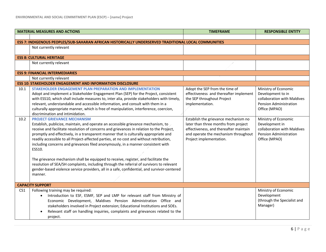|                 | <b>MATERIAL MEASURES AND ACTIONS</b>                                                                                                                                                                                                                                                                                                                                                                                                                                                                                                                                                                                                                                                                                                                                                             | <b>TIMEFRAME</b>                                                                                                                                                                          | <b>RESPONSIBLE ENTITY</b>                                                                                                  |  |
|-----------------|--------------------------------------------------------------------------------------------------------------------------------------------------------------------------------------------------------------------------------------------------------------------------------------------------------------------------------------------------------------------------------------------------------------------------------------------------------------------------------------------------------------------------------------------------------------------------------------------------------------------------------------------------------------------------------------------------------------------------------------------------------------------------------------------------|-------------------------------------------------------------------------------------------------------------------------------------------------------------------------------------------|----------------------------------------------------------------------------------------------------------------------------|--|
|                 |                                                                                                                                                                                                                                                                                                                                                                                                                                                                                                                                                                                                                                                                                                                                                                                                  |                                                                                                                                                                                           |                                                                                                                            |  |
|                 | ESS 7: INDIGENOUS PEOPLES/SUB-SAHARAN AFRICAN HISTORICALLY UNDERSERVED TRADITIONAL LOCAL COMMUNITIES                                                                                                                                                                                                                                                                                                                                                                                                                                                                                                                                                                                                                                                                                             |                                                                                                                                                                                           |                                                                                                                            |  |
|                 | Not currently relevant                                                                                                                                                                                                                                                                                                                                                                                                                                                                                                                                                                                                                                                                                                                                                                           |                                                                                                                                                                                           |                                                                                                                            |  |
|                 | <b>ESS 8: CULTURAL HERITAGE</b>                                                                                                                                                                                                                                                                                                                                                                                                                                                                                                                                                                                                                                                                                                                                                                  |                                                                                                                                                                                           |                                                                                                                            |  |
|                 | Not currently relevant                                                                                                                                                                                                                                                                                                                                                                                                                                                                                                                                                                                                                                                                                                                                                                           |                                                                                                                                                                                           |                                                                                                                            |  |
|                 | <b>ESS 9: FINANCIAL INTERMEDIARIES</b>                                                                                                                                                                                                                                                                                                                                                                                                                                                                                                                                                                                                                                                                                                                                                           |                                                                                                                                                                                           |                                                                                                                            |  |
|                 | Not currently relevant                                                                                                                                                                                                                                                                                                                                                                                                                                                                                                                                                                                                                                                                                                                                                                           |                                                                                                                                                                                           |                                                                                                                            |  |
|                 | <b>ESS 10: STAKEHOLDER ENGAGEMENT AND INFORMATION DISCLOSURE</b>                                                                                                                                                                                                                                                                                                                                                                                                                                                                                                                                                                                                                                                                                                                                 |                                                                                                                                                                                           |                                                                                                                            |  |
| 10.1            | STAKEHOLDER ENGAGEMENT PLAN PREPARATION AND IMPLEMENTATION<br>Adopt and implement a Stakeholder Engagement Plan (SEP) for the Project, consistent<br>with ESS10, which shall include measures to, inter alia, provide stakeholders with timely,<br>relevant, understandable and accessible information, and consult with them in a<br>culturally appropriate manner, which is free of manipulation, interference, coercion,<br>discrimination and intimidation.                                                                                                                                                                                                                                                                                                                                  | Adopt the SEP from the time of<br>effectiveness and thereafter implement<br>the SEP throughout Project<br>implementation.                                                                 | Ministry of Economic<br>Development to in<br>collaboration with Maldives<br><b>Pension Administration</b><br>Office (MPAO) |  |
| 10.2            | <b>PROJECT GRIEVANCE MECHANISM</b><br>Establish, publicize, maintain, and operate an accessible grievance mechanism, to<br>receive and facilitate resolution of concerns and grievances in relation to the Project,<br>promptly and effectively, in a transparent manner that is culturally appropriate and<br>readily accessible to all Project-affected parties, at no cost and without retribution,<br>including concerns and grievances filed anonymously, in a manner consistent with<br>ESS10.<br>The grievance mechanism shall be equipped to receive, register, and facilitate the<br>resolution of SEA/SH complaints, including through the referral of survivors to relevant<br>gender-based violence service providers, all in a safe, confidential, and survivor-centered<br>manner. | Establish the grievance mechanism no<br>later than three months from project<br>effectiveness, and thereafter maintain<br>and operate the mechanism throughout<br>Project implementation. | Ministry of Economic<br>Development in<br>collaboration with Maldives<br><b>Pension Administration</b><br>Office (MPAO)    |  |
|                 | <b>CAPACITY SUPPORT</b>                                                                                                                                                                                                                                                                                                                                                                                                                                                                                                                                                                                                                                                                                                                                                                          |                                                                                                                                                                                           |                                                                                                                            |  |
| CS <sub>1</sub> | Following training may be required:<br>Introduction to ESF, ESMF, SEP and LMP for relevant staff from Ministry of<br>$\bullet$<br>Economic Development, Maldives Pension Administration Office and<br>stakeholders involved in Project extension; Educational Institutions and SOEs.<br>Relevant staff on handling inquiries, complaints and grievances related to the<br>project.                                                                                                                                                                                                                                                                                                                                                                                                               |                                                                                                                                                                                           | Ministry of Economic<br>Development<br>(through the Specialist and<br>Manager)                                             |  |